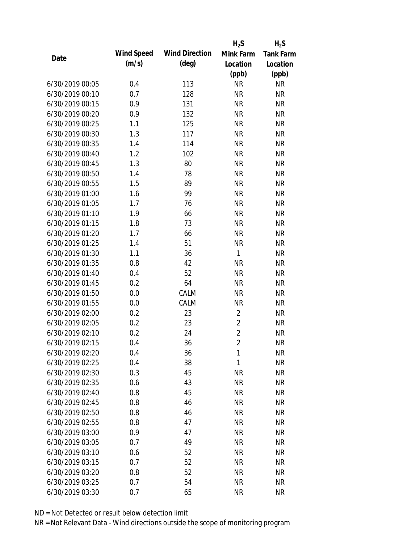|                 |            |                       | $H_2S$         | $H_2S$           |
|-----------------|------------|-----------------------|----------------|------------------|
| Date            | Wind Speed | <b>Wind Direction</b> | Mink Farm      | <b>Tank Farm</b> |
|                 | (m/s)      | $(\text{deg})$        | Location       | Location         |
|                 |            |                       | (ppb)          | (ppb)            |
| 6/30/2019 00:05 | 0.4        | 113                   | <b>NR</b>      | <b>NR</b>        |
| 6/30/2019 00:10 | 0.7        | 128                   | <b>NR</b>      | <b>NR</b>        |
| 6/30/2019 00:15 | 0.9        | 131                   | <b>NR</b>      | <b>NR</b>        |
| 6/30/2019 00:20 | 0.9        | 132                   | <b>NR</b>      | <b>NR</b>        |
| 6/30/2019 00:25 | 1.1        | 125                   | <b>NR</b>      | <b>NR</b>        |
| 6/30/2019 00:30 | 1.3        | 117                   | <b>NR</b>      | <b>NR</b>        |
| 6/30/2019 00:35 | 1.4        | 114                   | <b>NR</b>      | <b>NR</b>        |
| 6/30/2019 00:40 | 1.2        | 102                   | <b>NR</b>      | <b>NR</b>        |
| 6/30/2019 00:45 | 1.3        | 80                    | <b>NR</b>      | <b>NR</b>        |
| 6/30/2019 00:50 | 1.4        | 78                    | <b>NR</b>      | <b>NR</b>        |
| 6/30/2019 00:55 | 1.5        | 89                    | <b>NR</b>      | <b>NR</b>        |
| 6/30/2019 01:00 | 1.6        | 99                    | <b>NR</b>      | <b>NR</b>        |
| 6/30/2019 01:05 | 1.7        | 76                    | <b>NR</b>      | <b>NR</b>        |
| 6/30/2019 01:10 | 1.9        | 66                    | <b>NR</b>      | <b>NR</b>        |
| 6/30/2019 01:15 | 1.8        | 73                    | <b>NR</b>      | <b>NR</b>        |
| 6/30/2019 01:20 | 1.7        | 66                    | <b>NR</b>      | <b>NR</b>        |
| 6/30/2019 01:25 | 1.4        | 51                    | <b>NR</b>      | <b>NR</b>        |
| 6/30/2019 01:30 | 1.1        | 36                    | $\mathbf{1}$   | <b>NR</b>        |
| 6/30/2019 01:35 | 0.8        | 42                    | <b>NR</b>      | <b>NR</b>        |
| 6/30/2019 01:40 | 0.4        | 52                    | <b>NR</b>      | <b>NR</b>        |
| 6/30/2019 01:45 | 0.2        | 64                    | <b>NR</b>      | <b>NR</b>        |
| 6/30/2019 01:50 | 0.0        | CALM                  | <b>NR</b>      | <b>NR</b>        |
| 6/30/2019 01:55 | 0.0        | CALM                  | <b>NR</b>      | <b>NR</b>        |
| 6/30/2019 02:00 | 0.2        | 23                    | $\overline{2}$ | <b>NR</b>        |
| 6/30/2019 02:05 | 0.2        | 23                    | $\overline{2}$ | <b>NR</b>        |
| 6/30/2019 02:10 | 0.2        | 24                    | $\overline{2}$ | <b>NR</b>        |
| 6/30/2019 02:15 | 0.4        | 36                    | $\overline{2}$ | <b>NR</b>        |
| 6/30/2019 02:20 | 0.4        | 36                    | 1              | <b>NR</b>        |
| 6/30/2019 02:25 | 0.4        | 38                    | 1              | <b>NR</b>        |
| 6/30/2019 02:30 | 0.3        | 45                    | <b>NR</b>      | <b>NR</b>        |
| 6/30/2019 02:35 | 0.6        | 43                    | <b>NR</b>      | <b>NR</b>        |
| 6/30/2019 02:40 | 0.8        | 45                    | <b>NR</b>      | <b>NR</b>        |
| 6/30/2019 02:45 | 0.8        | 46                    | <b>NR</b>      | <b>NR</b>        |
| 6/30/2019 02:50 | 0.8        | 46                    | <b>NR</b>      | <b>NR</b>        |
| 6/30/2019 02:55 | 0.8        | 47                    | <b>NR</b>      | <b>NR</b>        |
| 6/30/2019 03:00 | 0.9        | 47                    | <b>NR</b>      | <b>NR</b>        |
| 6/30/2019 03:05 | 0.7        | 49                    | <b>NR</b>      | <b>NR</b>        |
| 6/30/2019 03:10 | 0.6        | 52                    | <b>NR</b>      | <b>NR</b>        |
| 6/30/2019 03:15 | 0.7        | 52                    | <b>NR</b>      | <b>NR</b>        |
| 6/30/2019 03:20 | 0.8        | 52                    | <b>NR</b>      | <b>NR</b>        |
| 6/30/2019 03:25 | 0.7        | 54                    | <b>NR</b>      | <b>NR</b>        |
| 6/30/2019 03:30 | 0.7        | 65                    | <b>NR</b>      | <b>NR</b>        |
|                 |            |                       |                |                  |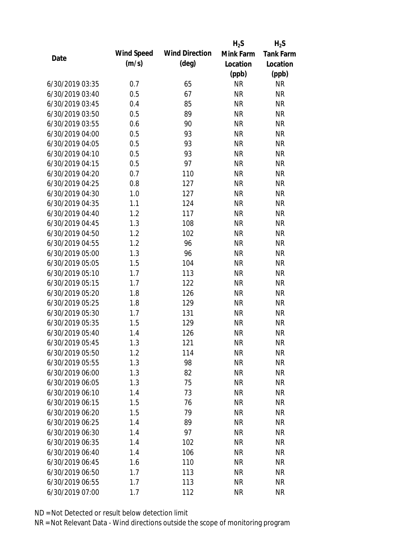|                 |            |                       | $H_2S$    | $H_2S$           |
|-----------------|------------|-----------------------|-----------|------------------|
| Date            | Wind Speed | <b>Wind Direction</b> | Mink Farm | <b>Tank Farm</b> |
|                 | (m/s)      | $(\text{deg})$        | Location  | Location         |
|                 |            |                       | (ppb)     | (ppb)            |
| 6/30/2019 03:35 | 0.7        | 65                    | <b>NR</b> | <b>NR</b>        |
| 6/30/2019 03:40 | 0.5        | 67                    | <b>NR</b> | <b>NR</b>        |
| 6/30/2019 03:45 | 0.4        | 85                    | <b>NR</b> | <b>NR</b>        |
| 6/30/2019 03:50 | 0.5        | 89                    | <b>NR</b> | <b>NR</b>        |
| 6/30/2019 03:55 | 0.6        | 90                    | <b>NR</b> | <b>NR</b>        |
| 6/30/2019 04:00 | 0.5        | 93                    | <b>NR</b> | <b>NR</b>        |
| 6/30/2019 04:05 | 0.5        | 93                    | <b>NR</b> | <b>NR</b>        |
| 6/30/2019 04:10 | 0.5        | 93                    | <b>NR</b> | <b>NR</b>        |
| 6/30/2019 04:15 | 0.5        | 97                    | <b>NR</b> | <b>NR</b>        |
| 6/30/2019 04:20 | 0.7        | 110                   | <b>NR</b> | <b>NR</b>        |
| 6/30/2019 04:25 | 0.8        | 127                   | <b>NR</b> | <b>NR</b>        |
| 6/30/2019 04:30 | 1.0        | 127                   | <b>NR</b> | <b>NR</b>        |
| 6/30/2019 04:35 | 1.1        | 124                   | <b>NR</b> | <b>NR</b>        |
| 6/30/2019 04:40 | 1.2        | 117                   | <b>NR</b> | <b>NR</b>        |
| 6/30/2019 04:45 | 1.3        | 108                   | <b>NR</b> | <b>NR</b>        |
| 6/30/2019 04:50 | 1.2        | 102                   | <b>NR</b> | <b>NR</b>        |
| 6/30/2019 04:55 | 1.2        | 96                    | <b>NR</b> | <b>NR</b>        |
| 6/30/2019 05:00 | 1.3        | 96                    | <b>NR</b> | <b>NR</b>        |
| 6/30/2019 05:05 | 1.5        | 104                   | <b>NR</b> | <b>NR</b>        |
| 6/30/2019 05:10 | 1.7        | 113                   | <b>NR</b> | <b>NR</b>        |
| 6/30/2019 05:15 | 1.7        | 122                   | <b>NR</b> | <b>NR</b>        |
| 6/30/2019 05:20 | 1.8        | 126                   | <b>NR</b> | <b>NR</b>        |
| 6/30/2019 05:25 | 1.8        | 129                   | <b>NR</b> | <b>NR</b>        |
| 6/30/2019 05:30 | 1.7        | 131                   | <b>NR</b> | <b>NR</b>        |
| 6/30/2019 05:35 | 1.5        | 129                   | <b>NR</b> | <b>NR</b>        |
| 6/30/2019 05:40 | 1.4        | 126                   | <b>NR</b> | <b>NR</b>        |
| 6/30/2019 05:45 | 1.3        | 121                   | <b>NR</b> | <b>NR</b>        |
| 6/30/2019 05:50 | 1.2        | 114                   | <b>NR</b> | <b>NR</b>        |
| 6/30/2019 05:55 | 1.3        | 98                    | <b>NR</b> | <b>NR</b>        |
| 6/30/2019 06:00 | 1.3        | 82                    | <b>NR</b> | <b>NR</b>        |
| 6/30/2019 06:05 | 1.3        | 75                    | <b>NR</b> | <b>NR</b>        |
| 6/30/2019 06:10 | 1.4        | 73                    | <b>NR</b> | <b>NR</b>        |
| 6/30/2019 06:15 | 1.5        | 76                    | <b>NR</b> | <b>NR</b>        |
| 6/30/2019 06:20 | 1.5        | 79                    | <b>NR</b> | <b>NR</b>        |
| 6/30/2019 06:25 | 1.4        | 89                    | <b>NR</b> | <b>NR</b>        |
| 6/30/2019 06:30 | 1.4        | 97                    | <b>NR</b> | <b>NR</b>        |
| 6/30/2019 06:35 | 1.4        | 102                   | <b>NR</b> | <b>NR</b>        |
| 6/30/2019 06:40 | 1.4        | 106                   | NR        | <b>NR</b>        |
| 6/30/2019 06:45 | 1.6        | 110                   | <b>NR</b> | <b>NR</b>        |
| 6/30/2019 06:50 | 1.7        | 113                   | <b>NR</b> | <b>NR</b>        |
| 6/30/2019 06:55 | 1.7        | 113                   | <b>NR</b> | <b>NR</b>        |
| 6/30/2019 07:00 | 1.7        | 112                   | <b>NR</b> | <b>NR</b>        |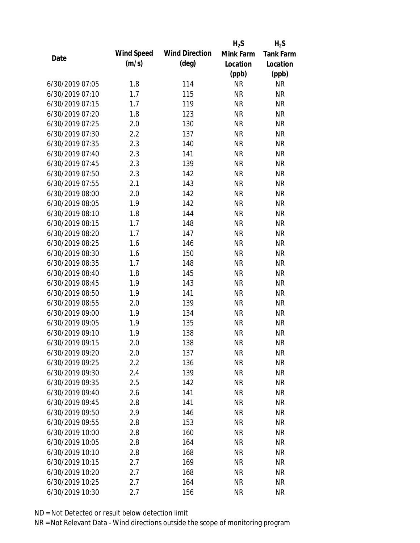|                 |            |                       | $H_2S$    | $H_2S$           |
|-----------------|------------|-----------------------|-----------|------------------|
|                 | Wind Speed | <b>Wind Direction</b> | Mink Farm | <b>Tank Farm</b> |
| Date            | (m/s)      | $(\text{deg})$        | Location  | Location         |
|                 |            |                       | (ppb)     | (ppb)            |
| 6/30/2019 07:05 | 1.8        | 114                   | <b>NR</b> | <b>NR</b>        |
| 6/30/2019 07:10 | 1.7        | 115                   | <b>NR</b> | <b>NR</b>        |
| 6/30/2019 07:15 | 1.7        | 119                   | <b>NR</b> | <b>NR</b>        |
| 6/30/2019 07:20 | 1.8        | 123                   | <b>NR</b> | <b>NR</b>        |
| 6/30/2019 07:25 | 2.0        | 130                   | <b>NR</b> | <b>NR</b>        |
| 6/30/2019 07:30 | 2.2        | 137                   | <b>NR</b> | <b>NR</b>        |
| 6/30/2019 07:35 | 2.3        | 140                   | <b>NR</b> | <b>NR</b>        |
| 6/30/2019 07:40 | 2.3        | 141                   | <b>NR</b> | <b>NR</b>        |
| 6/30/2019 07:45 | 2.3        | 139                   | <b>NR</b> | <b>NR</b>        |
| 6/30/2019 07:50 | 2.3        | 142                   | <b>NR</b> | <b>NR</b>        |
| 6/30/2019 07:55 | 2.1        | 143                   | <b>NR</b> | <b>NR</b>        |
| 6/30/2019 08:00 | 2.0        | 142                   | <b>NR</b> | <b>NR</b>        |
| 6/30/2019 08:05 | 1.9        | 142                   | <b>NR</b> | <b>NR</b>        |
| 6/30/2019 08:10 | 1.8        | 144                   | <b>NR</b> | <b>NR</b>        |
| 6/30/2019 08:15 | 1.7        | 148                   | <b>NR</b> | <b>NR</b>        |
| 6/30/2019 08:20 | 1.7        | 147                   | <b>NR</b> | <b>NR</b>        |
| 6/30/2019 08:25 | 1.6        | 146                   | <b>NR</b> | <b>NR</b>        |
| 6/30/2019 08:30 | 1.6        | 150                   | <b>NR</b> | <b>NR</b>        |
| 6/30/2019 08:35 | 1.7        | 148                   | <b>NR</b> | <b>NR</b>        |
| 6/30/2019 08:40 | 1.8        | 145                   | <b>NR</b> | <b>NR</b>        |
| 6/30/2019 08:45 | 1.9        | 143                   | <b>NR</b> | <b>NR</b>        |
| 6/30/2019 08:50 | 1.9        | 141                   | <b>NR</b> | <b>NR</b>        |
| 6/30/2019 08:55 | 2.0        | 139                   | <b>NR</b> | <b>NR</b>        |
| 6/30/2019 09:00 | 1.9        | 134                   | <b>NR</b> | <b>NR</b>        |
| 6/30/2019 09:05 | 1.9        | 135                   | <b>NR</b> | <b>NR</b>        |
| 6/30/2019 09:10 | 1.9        | 138                   | <b>NR</b> | <b>NR</b>        |
| 6/30/2019 09:15 | 2.0        | 138                   | <b>NR</b> | <b>NR</b>        |
| 6/30/2019 09:20 | 2.0        | 137                   | <b>NR</b> | <b>NR</b>        |
| 6/30/2019 09:25 | 2.2        | 136                   | <b>NR</b> | <b>NR</b>        |
| 6/30/2019 09:30 | 2.4        | 139                   | <b>NR</b> | <b>NR</b>        |
| 6/30/2019 09:35 | 2.5        | 142                   | <b>NR</b> | <b>NR</b>        |
| 6/30/2019 09:40 | 2.6        | 141                   | <b>NR</b> | <b>NR</b>        |
| 6/30/2019 09:45 | 2.8        | 141                   | <b>NR</b> | <b>NR</b>        |
| 6/30/2019 09:50 | 2.9        | 146                   | <b>NR</b> | <b>NR</b>        |
| 6/30/2019 09:55 | 2.8        | 153                   | <b>NR</b> | <b>NR</b>        |
| 6/30/2019 10:00 | 2.8        | 160                   | <b>NR</b> | <b>NR</b>        |
| 6/30/2019 10:05 | 2.8        | 164                   | <b>NR</b> | <b>NR</b>        |
| 6/30/2019 10:10 | 2.8        | 168                   | <b>NR</b> | <b>NR</b>        |
| 6/30/2019 10:15 | 2.7        | 169                   | <b>NR</b> | <b>NR</b>        |
| 6/30/2019 10:20 | 2.7        | 168                   | <b>NR</b> | NR               |
| 6/30/2019 10:25 | 2.7        | 164                   | <b>NR</b> | <b>NR</b>        |
| 6/30/2019 10:30 | 2.7        | 156                   | <b>NR</b> | <b>NR</b>        |
|                 |            |                       |           |                  |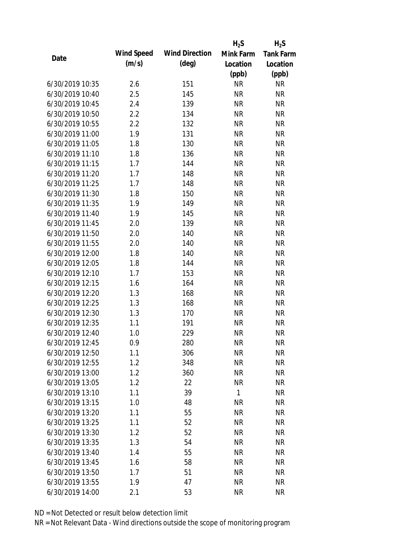|                 |            |                       | $H_2S$       | $H_2S$           |
|-----------------|------------|-----------------------|--------------|------------------|
|                 | Wind Speed | <b>Wind Direction</b> | Mink Farm    | <b>Tank Farm</b> |
| Date            | (m/s)      | $(\text{deg})$        | Location     | Location         |
|                 |            |                       | (ppb)        | (ppb)            |
| 6/30/2019 10:35 | 2.6        | 151                   | <b>NR</b>    | <b>NR</b>        |
| 6/30/2019 10:40 | 2.5        | 145                   | <b>NR</b>    | <b>NR</b>        |
| 6/30/2019 10:45 | 2.4        | 139                   | <b>NR</b>    | <b>NR</b>        |
| 6/30/2019 10:50 | 2.2        | 134                   | <b>NR</b>    | <b>NR</b>        |
| 6/30/2019 10:55 | 2.2        | 132                   | <b>NR</b>    | <b>NR</b>        |
| 6/30/2019 11:00 | 1.9        | 131                   | <b>NR</b>    | <b>NR</b>        |
| 6/30/2019 11:05 | 1.8        | 130                   | <b>NR</b>    | <b>NR</b>        |
| 6/30/2019 11:10 | 1.8        | 136                   | <b>NR</b>    | <b>NR</b>        |
| 6/30/2019 11:15 | 1.7        | 144                   | <b>NR</b>    | <b>NR</b>        |
| 6/30/2019 11:20 | 1.7        | 148                   | <b>NR</b>    | <b>NR</b>        |
| 6/30/2019 11:25 | 1.7        | 148                   | <b>NR</b>    | <b>NR</b>        |
| 6/30/2019 11:30 | 1.8        | 150                   | <b>NR</b>    | <b>NR</b>        |
| 6/30/2019 11:35 | 1.9        | 149                   | <b>NR</b>    | <b>NR</b>        |
| 6/30/2019 11:40 | 1.9        | 145                   | <b>NR</b>    | <b>NR</b>        |
| 6/30/2019 11:45 | 2.0        | 139                   | <b>NR</b>    | <b>NR</b>        |
| 6/30/2019 11:50 | 2.0        | 140                   | <b>NR</b>    | <b>NR</b>        |
| 6/30/2019 11:55 | 2.0        | 140                   | <b>NR</b>    | <b>NR</b>        |
| 6/30/2019 12:00 | 1.8        | 140                   | <b>NR</b>    | <b>NR</b>        |
| 6/30/2019 12:05 | 1.8        | 144                   | <b>NR</b>    | <b>NR</b>        |
| 6/30/2019 12:10 | 1.7        | 153                   | <b>NR</b>    | <b>NR</b>        |
| 6/30/2019 12:15 | 1.6        | 164                   | <b>NR</b>    | <b>NR</b>        |
| 6/30/2019 12:20 | 1.3        | 168                   | <b>NR</b>    | <b>NR</b>        |
| 6/30/2019 12:25 | 1.3        | 168                   | <b>NR</b>    | <b>NR</b>        |
| 6/30/2019 12:30 | 1.3        | 170                   | <b>NR</b>    | <b>NR</b>        |
| 6/30/2019 12:35 | 1.1        | 191                   | <b>NR</b>    | <b>NR</b>        |
| 6/30/2019 12:40 | 1.0        | 229                   | <b>NR</b>    | <b>NR</b>        |
| 6/30/2019 12:45 | 0.9        | 280                   | <b>NR</b>    | <b>NR</b>        |
| 6/30/2019 12:50 | 1.1        | 306                   | <b>NR</b>    | <b>NR</b>        |
| 6/30/2019 12:55 | 1.2        | 348                   | <b>NR</b>    | <b>NR</b>        |
| 6/30/2019 13:00 | 1.2        | 360                   | <b>NR</b>    | <b>NR</b>        |
| 6/30/2019 13:05 | 1.2        | 22                    | <b>NR</b>    | <b>NR</b>        |
| 6/30/2019 13:10 | 1.1        | 39                    | $\mathbf{1}$ | <b>NR</b>        |
| 6/30/2019 13:15 | 1.0        | 48                    | <b>NR</b>    | <b>NR</b>        |
| 6/30/2019 13:20 | 1.1        | 55                    | <b>NR</b>    | <b>NR</b>        |
| 6/30/2019 13:25 | 1.1        | 52                    | <b>NR</b>    | <b>NR</b>        |
| 6/30/2019 13:30 | 1.2        | 52                    | <b>NR</b>    | <b>NR</b>        |
| 6/30/2019 13:35 | 1.3        | 54                    | <b>NR</b>    | <b>NR</b>        |
| 6/30/2019 13:40 |            |                       |              |                  |
|                 | 1.4        | 55                    | <b>NR</b>    | <b>NR</b>        |
| 6/30/2019 13:45 | 1.6        | 58                    | <b>NR</b>    | <b>NR</b>        |
| 6/30/2019 13:50 | 1.7        | 51                    | <b>NR</b>    | <b>NR</b>        |
| 6/30/2019 13:55 | 1.9        | 47                    | <b>NR</b>    | <b>NR</b>        |
| 6/30/2019 14:00 | 2.1        | 53                    | <b>NR</b>    | <b>NR</b>        |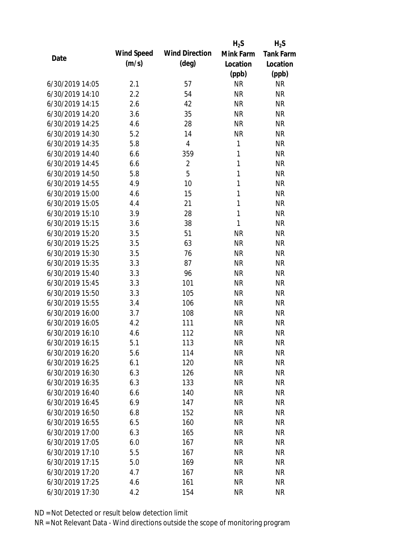|                 |            |                       | $H_2S$       | $H_2S$           |
|-----------------|------------|-----------------------|--------------|------------------|
| Date            | Wind Speed | <b>Wind Direction</b> | Mink Farm    | <b>Tank Farm</b> |
|                 | (m/s)      | $(\text{deg})$        | Location     | Location         |
|                 |            |                       | (ppb)        | (ppb)            |
| 6/30/2019 14:05 | 2.1        | 57                    | <b>NR</b>    | <b>NR</b>        |
| 6/30/2019 14:10 | 2.2        | 54                    | <b>NR</b>    | <b>NR</b>        |
| 6/30/2019 14:15 | 2.6        | 42                    | <b>NR</b>    | <b>NR</b>        |
| 6/30/2019 14:20 | 3.6        | 35                    | <b>NR</b>    | <b>NR</b>        |
| 6/30/2019 14:25 | 4.6        | 28                    | <b>NR</b>    | <b>NR</b>        |
| 6/30/2019 14:30 | 5.2        | 14                    | <b>NR</b>    | <b>NR</b>        |
| 6/30/2019 14:35 | 5.8        | 4                     | 1            | <b>NR</b>        |
| 6/30/2019 14:40 | 6.6        | 359                   | $\mathbf{1}$ | <b>NR</b>        |
| 6/30/2019 14:45 | 6.6        | $\overline{2}$        | $\mathbf{1}$ | <b>NR</b>        |
| 6/30/2019 14:50 | 5.8        | 5                     | $\mathbf{1}$ | <b>NR</b>        |
| 6/30/2019 14:55 | 4.9        | 10                    | $\mathbf{1}$ | <b>NR</b>        |
| 6/30/2019 15:00 | 4.6        | 15                    | $\mathbf{1}$ | <b>NR</b>        |
| 6/30/2019 15:05 | 4.4        | 21                    | $\mathbf{1}$ | <b>NR</b>        |
| 6/30/2019 15:10 | 3.9        | 28                    | $\mathbf{1}$ | <b>NR</b>        |
| 6/30/2019 15:15 | 3.6        | 38                    | $\mathbf{1}$ | <b>NR</b>        |
| 6/30/2019 15:20 | 3.5        | 51                    | <b>NR</b>    | <b>NR</b>        |
| 6/30/2019 15:25 | 3.5        | 63                    | <b>NR</b>    | <b>NR</b>        |
| 6/30/2019 15:30 | 3.5        | 76                    | <b>NR</b>    | <b>NR</b>        |
| 6/30/2019 15:35 | 3.3        | 87                    | <b>NR</b>    | <b>NR</b>        |
| 6/30/2019 15:40 | 3.3        | 96                    | <b>NR</b>    | <b>NR</b>        |
| 6/30/2019 15:45 | 3.3        | 101                   | <b>NR</b>    | <b>NR</b>        |
| 6/30/2019 15:50 | 3.3        | 105                   | <b>NR</b>    | <b>NR</b>        |
| 6/30/2019 15:55 | 3.4        | 106                   | <b>NR</b>    | <b>NR</b>        |
| 6/30/2019 16:00 | 3.7        | 108                   | <b>NR</b>    | <b>NR</b>        |
| 6/30/2019 16:05 | 4.2        | 111                   | <b>NR</b>    | <b>NR</b>        |
| 6/30/2019 16:10 | 4.6        | 112                   | <b>NR</b>    | <b>NR</b>        |
| 6/30/2019 16:15 | 5.1        | 113                   | <b>NR</b>    | <b>NR</b>        |
| 6/30/2019 16:20 | 5.6        | 114                   | <b>NR</b>    | <b>NR</b>        |
| 6/30/2019 16:25 | 6.1        | 120                   | <b>NR</b>    | <b>NR</b>        |
| 6/30/2019 16:30 | 6.3        | 126                   | <b>NR</b>    | <b>NR</b>        |
| 6/30/2019 16:35 | 6.3        | 133                   | <b>NR</b>    | <b>NR</b>        |
| 6/30/2019 16:40 | 6.6        | 140                   | <b>NR</b>    | <b>NR</b>        |
| 6/30/2019 16:45 | 6.9        | 147                   | <b>NR</b>    | <b>NR</b>        |
| 6/30/2019 16:50 | 6.8        | 152                   | <b>NR</b>    | <b>NR</b>        |
| 6/30/2019 16:55 | 6.5        | 160                   | <b>NR</b>    | <b>NR</b>        |
| 6/30/2019 17:00 | 6.3        | 165                   | <b>NR</b>    | <b>NR</b>        |
| 6/30/2019 17:05 | 6.0        | 167                   | <b>NR</b>    | <b>NR</b>        |
| 6/30/2019 17:10 | 5.5        | 167                   | NR           | <b>NR</b>        |
| 6/30/2019 17:15 | 5.0        | 169                   | <b>NR</b>    | <b>NR</b>        |
| 6/30/2019 17:20 | 4.7        | 167                   | <b>NR</b>    | NR               |
| 6/30/2019 17:25 | 4.6        | 161                   | <b>NR</b>    | <b>NR</b>        |
|                 |            |                       |              | <b>NR</b>        |
| 6/30/2019 17:30 | 4.2        | 154                   | <b>NR</b>    |                  |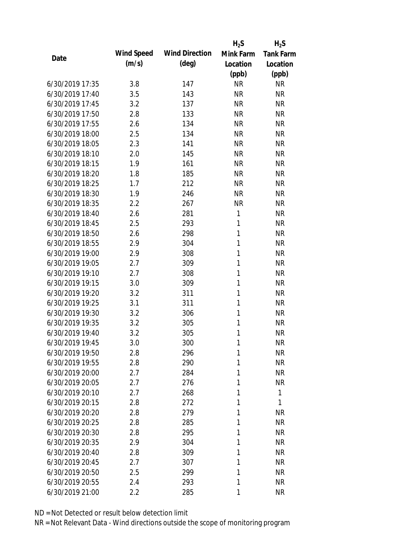|                 |            |                       | $H_2S$       | $H_2S$           |
|-----------------|------------|-----------------------|--------------|------------------|
| Date            | Wind Speed | <b>Wind Direction</b> | Mink Farm    | <b>Tank Farm</b> |
|                 | (m/s)      | $(\text{deg})$        | Location     | Location         |
|                 |            |                       | (ppb)        | (ppb)            |
| 6/30/2019 17:35 | 3.8        | 147                   | <b>NR</b>    | <b>NR</b>        |
| 6/30/2019 17:40 | 3.5        | 143                   | <b>NR</b>    | <b>NR</b>        |
| 6/30/2019 17:45 | 3.2        | 137                   | <b>NR</b>    | <b>NR</b>        |
| 6/30/2019 17:50 | 2.8        | 133                   | <b>NR</b>    | <b>NR</b>        |
| 6/30/2019 17:55 | 2.6        | 134                   | <b>NR</b>    | <b>NR</b>        |
| 6/30/2019 18:00 | 2.5        | 134                   | <b>NR</b>    | <b>NR</b>        |
| 6/30/2019 18:05 | 2.3        | 141                   | <b>NR</b>    | <b>NR</b>        |
| 6/30/2019 18:10 | 2.0        | 145                   | <b>NR</b>    | <b>NR</b>        |
| 6/30/2019 18:15 | 1.9        | 161                   | <b>NR</b>    | <b>NR</b>        |
| 6/30/2019 18:20 | 1.8        | 185                   | <b>NR</b>    | <b>NR</b>        |
| 6/30/2019 18:25 | 1.7        | 212                   | <b>NR</b>    | <b>NR</b>        |
| 6/30/2019 18:30 | 1.9        | 246                   | <b>NR</b>    | <b>NR</b>        |
| 6/30/2019 18:35 | 2.2        | 267                   | <b>NR</b>    | <b>NR</b>        |
| 6/30/2019 18:40 | 2.6        | 281                   | 1            | <b>NR</b>        |
| 6/30/2019 18:45 | 2.5        | 293                   | 1            | <b>NR</b>        |
| 6/30/2019 18:50 | 2.6        | 298                   | 1            | <b>NR</b>        |
| 6/30/2019 18:55 | 2.9        | 304                   | 1            | <b>NR</b>        |
| 6/30/2019 19:00 | 2.9        | 308                   | 1            | <b>NR</b>        |
| 6/30/2019 19:05 | 2.7        | 309                   | 1            | <b>NR</b>        |
| 6/30/2019 19:10 | 2.7        | 308                   | 1            | <b>NR</b>        |
| 6/30/2019 19:15 | 3.0        | 309                   | 1            | <b>NR</b>        |
| 6/30/2019 19:20 | 3.2        | 311                   | 1            | <b>NR</b>        |
| 6/30/2019 19:25 | 3.1        | 311                   | 1            | <b>NR</b>        |
| 6/30/2019 19:30 | 3.2        | 306                   | 1            | <b>NR</b>        |
| 6/30/2019 19:35 | 3.2        | 305                   | 1            | <b>NR</b>        |
| 6/30/2019 19:40 | 3.2        | 305                   | 1            | <b>NR</b>        |
| 6/30/2019 19:45 | 3.0        | 300                   | 1            | <b>NR</b>        |
| 6/30/2019 19:50 | 2.8        | 296                   | $\mathbf{1}$ | <b>NR</b>        |
| 6/30/2019 19:55 | 2.8        | 290                   | 1            | <b>NR</b>        |
| 6/30/2019 20:00 | 2.7        | 284                   | 1            | <b>NR</b>        |
| 6/30/2019 20:05 | 2.7        | 276                   | 1            | <b>NR</b>        |
| 6/30/2019 20:10 | 2.7        | 268                   | 1            | 1                |
| 6/30/2019 20:15 | 2.8        | 272                   | 1            | 1                |
| 6/30/2019 20:20 | 2.8        | 279                   | 1            | <b>NR</b>        |
| 6/30/2019 20:25 | 2.8        | 285                   | 1            | <b>NR</b>        |
| 6/30/2019 20:30 | 2.8        | 295                   | 1            | <b>NR</b>        |
| 6/30/2019 20:35 | 2.9        | 304                   | 1            | <b>NR</b>        |
| 6/30/2019 20:40 | 2.8        | 309                   | 1            | <b>NR</b>        |
| 6/30/2019 20:45 | 2.7        | 307                   | 1            | <b>NR</b>        |
| 6/30/2019 20:50 | 2.5        | 299                   | 1            | <b>NR</b>        |
| 6/30/2019 20:55 | 2.4        | 293                   | 1            | <b>NR</b>        |
| 6/30/2019 21:00 | 2.2        | 285                   | 1            | <b>NR</b>        |
|                 |            |                       |              |                  |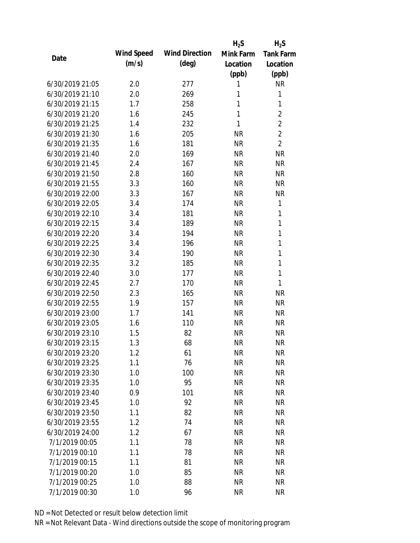|                 |            |                       | $H_2S$    | $H_2S$           |
|-----------------|------------|-----------------------|-----------|------------------|
| Date            | Wind Speed | <b>Wind Direction</b> | Mink Farm | <b>Tank Farm</b> |
|                 | (m/s)      | $(\text{deg})$        | Location  | Location         |
|                 |            |                       | (ppb)     | (ppb)            |
| 6/30/2019 21:05 | 2.0        | 277                   | 1         | <b>NR</b>        |
| 6/30/2019 21:10 | 2.0        | 269                   | 1         | 1                |
| 6/30/2019 21:15 | 1.7        | 258                   | 1         | 1                |
| 6/30/2019 21:20 | 1.6        | 245                   | 1         | $\overline{2}$   |
| 6/30/2019 21:25 | 1.4        | 232                   | 1         | $\overline{2}$   |
| 6/30/2019 21:30 | 1.6        | 205                   | <b>NR</b> | $\overline{2}$   |
| 6/30/2019 21:35 | 1.6        | 181                   | <b>NR</b> | $\overline{2}$   |
| 6/30/2019 21:40 | 2.0        | 169                   | <b>NR</b> | <b>NR</b>        |
| 6/30/2019 21:45 | 2.4        | 167                   | <b>NR</b> | <b>NR</b>        |
| 6/30/2019 21:50 | 2.8        | 160                   | <b>NR</b> | <b>NR</b>        |
| 6/30/2019 21:55 | 3.3        | 160                   | <b>NR</b> | <b>NR</b>        |
| 6/30/2019 22:00 | 3.3        | 167                   | <b>NR</b> | <b>NR</b>        |
| 6/30/2019 22:05 | 3.4        | 174                   | <b>NR</b> | 1                |
| 6/30/2019 22:10 | 3.4        | 181                   | <b>NR</b> | 1                |
| 6/30/2019 22:15 | 3.4        | 189                   | <b>NR</b> | 1                |
| 6/30/2019 22:20 | 3.4        | 194                   | <b>NR</b> | 1                |
| 6/30/2019 22:25 | 3.4        | 196                   | <b>NR</b> | 1                |
| 6/30/2019 22:30 | 3.4        | 190                   | <b>NR</b> | 1                |
| 6/30/2019 22:35 | 3.2        | 185                   | <b>NR</b> | 1                |
| 6/30/2019 22:40 | 3.0        | 177                   | <b>NR</b> | 1                |
| 6/30/2019 22:45 | 2.7        | 170                   | <b>NR</b> | 1                |
| 6/30/2019 22:50 | 2.3        | 165                   | <b>NR</b> | <b>NR</b>        |
| 6/30/2019 22:55 | 1.9        | 157                   | <b>NR</b> | <b>NR</b>        |
| 6/30/2019 23:00 | 1.7        | 141                   | <b>NR</b> | <b>NR</b>        |
| 6/30/2019 23:05 | 1.6        | 110                   | <b>NR</b> | <b>NR</b>        |
| 6/30/2019 23:10 | 1.5        | 82                    | <b>NR</b> | <b>NR</b>        |
| 6/30/2019 23:15 | 1.3        | 68                    | <b>NR</b> | <b>NR</b>        |
| 6/30/2019 23:20 | 1.2        | 61                    | <b>NR</b> | <b>NR</b>        |
| 6/30/2019 23:25 | 1.1        | 76                    | <b>NR</b> | <b>NR</b>        |
| 6/30/2019 23:30 | 1.0        | 100                   | <b>NR</b> | <b>NR</b>        |
| 6/30/2019 23:35 | 1.0        | 95                    | <b>NR</b> | <b>NR</b>        |
| 6/30/2019 23:40 | 0.9        | 101                   | <b>NR</b> | <b>NR</b>        |
| 6/30/2019 23:45 | 1.0        | 92                    | <b>NR</b> | <b>NR</b>        |
| 6/30/2019 23:50 | 1.1        | 82                    | <b>NR</b> | <b>NR</b>        |
| 6/30/2019 23:55 | 1.2        | 74                    | <b>NR</b> | <b>NR</b>        |
| 6/30/2019 24:00 | 1.2        | 67                    | <b>NR</b> | <b>NR</b>        |
| 7/1/2019 00:05  | 1.1        | 78                    | <b>NR</b> | <b>NR</b>        |
| 7/1/2019 00:10  | 1.1        | 78                    | <b>NR</b> | <b>NR</b>        |
| 7/1/2019 00:15  | 1.1        | 81                    | <b>NR</b> | <b>NR</b>        |
| 7/1/2019 00:20  | 1.0        | 85                    | <b>NR</b> | <b>NR</b>        |
| 7/1/2019 00:25  | 1.0        | 88                    | <b>NR</b> | <b>NR</b>        |
| 7/1/2019 00:30  | 1.0        | 96                    | <b>NR</b> | <b>NR</b>        |
|                 |            |                       |           |                  |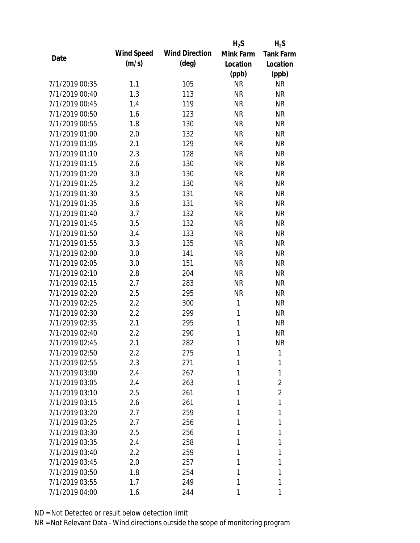|                |            |                       | $H_2S$       | $H_2S$           |
|----------------|------------|-----------------------|--------------|------------------|
|                | Wind Speed | <b>Wind Direction</b> | Mink Farm    | <b>Tank Farm</b> |
| Date           | (m/s)      | $(\text{deg})$        | Location     | Location         |
|                |            |                       | (ppb)        | (ppb)            |
| 7/1/2019 00:35 | 1.1        | 105                   | <b>NR</b>    | <b>NR</b>        |
| 7/1/2019 00:40 | 1.3        | 113                   | <b>NR</b>    | <b>NR</b>        |
| 7/1/2019 00:45 | 1.4        | 119                   | <b>NR</b>    | <b>NR</b>        |
| 7/1/2019 00:50 | 1.6        | 123                   | <b>NR</b>    | <b>NR</b>        |
| 7/1/2019 00:55 | 1.8        | 130                   | <b>NR</b>    | <b>NR</b>        |
| 7/1/2019 01:00 | 2.0        | 132                   | <b>NR</b>    | <b>NR</b>        |
| 7/1/2019 01:05 | 2.1        | 129                   | <b>NR</b>    | <b>NR</b>        |
| 7/1/2019 01:10 | 2.3        | 128                   | <b>NR</b>    | <b>NR</b>        |
| 7/1/2019 01:15 | 2.6        | 130                   | <b>NR</b>    | <b>NR</b>        |
| 7/1/2019 01:20 | 3.0        | 130                   | <b>NR</b>    | <b>NR</b>        |
| 7/1/2019 01:25 | 3.2        | 130                   | <b>NR</b>    | <b>NR</b>        |
| 7/1/2019 01:30 | 3.5        | 131                   | <b>NR</b>    | <b>NR</b>        |
| 7/1/2019 01:35 | 3.6        | 131                   | <b>NR</b>    | <b>NR</b>        |
| 7/1/2019 01:40 | 3.7        | 132                   | <b>NR</b>    | <b>NR</b>        |
| 7/1/2019 01:45 | 3.5        | 132                   | <b>NR</b>    | <b>NR</b>        |
| 7/1/2019 01:50 | 3.4        | 133                   | <b>NR</b>    | <b>NR</b>        |
| 7/1/2019 01:55 | 3.3        | 135                   | <b>NR</b>    | <b>NR</b>        |
| 7/1/2019 02:00 | 3.0        | 141                   | <b>NR</b>    | <b>NR</b>        |
| 7/1/2019 02:05 | 3.0        | 151                   | <b>NR</b>    | <b>NR</b>        |
| 7/1/2019 02:10 | 2.8        | 204                   | <b>NR</b>    | <b>NR</b>        |
| 7/1/2019 02:15 | 2.7        | 283                   | <b>NR</b>    | <b>NR</b>        |
| 7/1/2019 02:20 | 2.5        | 295                   | <b>NR</b>    | <b>NR</b>        |
| 7/1/2019 02:25 | 2.2        | 300                   | $\mathbf{1}$ | <b>NR</b>        |
| 7/1/2019 02:30 | 2.2        | 299                   | $\mathbf{1}$ | <b>NR</b>        |
| 7/1/2019 02:35 | 2.1        | 295                   | 1            | <b>NR</b>        |
| 7/1/2019 02:40 | 2.2        | 290                   | 1            | <b>NR</b>        |
| 7/1/2019 02:45 | 2.1        | 282                   | 1            | <b>NR</b>        |
| 7/1/2019 02:50 | 2.2        | 275                   | 1            | 1                |
| 7/1/2019 02:55 | 2.3        | 271                   | 1            | 1                |
| 7/1/2019 03:00 | 2.4        | 267                   | 1            | 1                |
| 7/1/2019 03:05 | 2.4        | 263                   | 1            | $\overline{2}$   |
| 7/1/2019 03:10 | 2.5        | 261                   | 1            | $\overline{2}$   |
| 7/1/2019 03:15 | 2.6        | 261                   | 1            | 1                |
| 7/1/2019 03:20 | 2.7        | 259                   | 1            | 1                |
| 7/1/2019 03:25 | 2.7        | 256                   | 1            | 1                |
| 7/1/2019 03:30 | 2.5        | 256                   | 1            | 1                |
| 7/1/2019 03:35 | 2.4        | 258                   | 1            | 1                |
| 7/1/2019 03:40 | 2.2        | 259                   | 1            | 1                |
| 7/1/2019 03:45 | 2.0        | 257                   | 1            | 1                |
| 7/1/2019 03:50 | 1.8        | 254                   | 1            | 1                |
| 7/1/2019 03:55 | 1.7        | 249                   | 1            | 1                |
| 7/1/2019 04:00 | 1.6        | 244                   | 1            | 1                |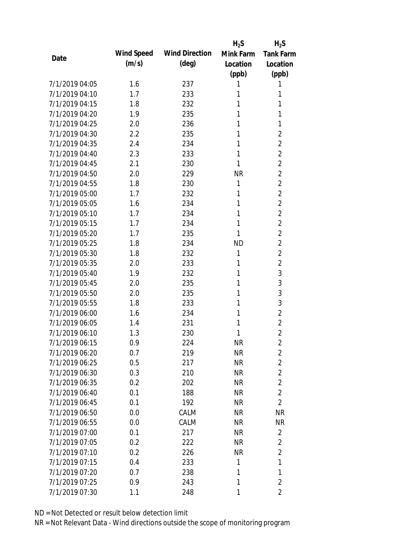|                |            |                       | $H_2S$    | $H_2S$                  |
|----------------|------------|-----------------------|-----------|-------------------------|
| Date           | Wind Speed | <b>Wind Direction</b> | Mink Farm | <b>Tank Farm</b>        |
|                | (m/s)      | (deg)                 | Location  | Location                |
|                |            |                       | (ppb)     | (ppb)                   |
| 7/1/2019 04:05 | 1.6        | 237                   | 1         | 1                       |
| 7/1/2019 04:10 | 1.7        | 233                   | 1         | 1                       |
| 7/1/2019 04:15 | 1.8        | 232                   | 1         | 1                       |
| 7/1/2019 04:20 | 1.9        | 235                   | 1         | 1                       |
| 7/1/2019 04:25 | 2.0        | 236                   | 1         | 1                       |
| 7/1/2019 04:30 | 2.2        | 235                   | 1         | $\overline{2}$          |
| 7/1/2019 04:35 | 2.4        | 234                   | 1         | $\overline{2}$          |
| 7/1/2019 04:40 | 2.3        | 233                   | 1         | $\overline{2}$          |
| 7/1/2019 04:45 | 2.1        | 230                   | 1         | $\overline{2}$          |
| 7/1/2019 04:50 | 2.0        | 229                   | <b>NR</b> | $\overline{2}$          |
| 7/1/2019 04:55 | 1.8        | 230                   | 1         | $\overline{2}$          |
| 7/1/2019 05:00 | 1.7        | 232                   | 1         | $\overline{2}$          |
| 7/1/2019 05:05 | 1.6        | 234                   | 1         | $\overline{2}$          |
| 7/1/2019 05:10 | 1.7        | 234                   | 1         | $\overline{2}$          |
| 7/1/2019 05:15 | 1.7        | 234                   | 1         | $\overline{2}$          |
| 7/1/2019 05:20 | 1.7        | 235                   | 1         | $\overline{2}$          |
| 7/1/2019 05:25 | 1.8        | 234                   | <b>ND</b> | $\overline{2}$          |
| 7/1/2019 05:30 | 1.8        | 232                   | 1         | $\overline{2}$          |
| 7/1/2019 05:35 | 2.0        | 233                   | 1         | $\overline{2}$          |
| 7/1/2019 05:40 | 1.9        | 232                   | 1         | 3                       |
| 7/1/2019 05:45 | 2.0        | 235                   | 1         | 3                       |
| 7/1/2019 05:50 | 2.0        | 235                   | 1         | 3                       |
| 7/1/2019 05:55 | 1.8        | 233                   | 1         | 3                       |
| 7/1/2019 06:00 | 1.6        | 234                   | 1         | $\overline{2}$          |
| 7/1/2019 06:05 | 1.4        | 231                   | 1         | $\overline{2}$          |
| 7/1/2019 06:10 | 1.3        | 230                   | 1         | $\overline{2}$          |
| 7/1/2019 06:15 | 0.9        | 224                   | <b>NR</b> | $\overline{2}$          |
| 7/1/2019 06:20 | 0.7        | 219                   | <b>NR</b> | $\overline{2}$          |
| 7/1/2019 06:25 | 0.5        | 217                   | <b>NR</b> | $\overline{2}$          |
| 7/1/2019 06:30 | 0.3        | 210                   | <b>NR</b> | $\overline{2}$          |
| 7/1/2019 06:35 | 0.2        | 202                   | <b>NR</b> | $\overline{2}$          |
| 7/1/2019 06:40 | 0.1        | 188                   | <b>NR</b> | $\overline{2}$          |
| 7/1/2019 06:45 | 0.1        | 192                   | <b>NR</b> | $\overline{2}$          |
| 7/1/2019 06:50 | 0.0        | CALM                  | <b>NR</b> | <b>NR</b>               |
| 7/1/2019 06:55 | 0.0        | CALM                  | <b>NR</b> | <b>NR</b>               |
| 7/1/2019 07:00 | 0.1        | 217                   | <b>NR</b> | $\overline{2}$          |
| 7/1/2019 07:05 | 0.2        | 222                   | <b>NR</b> | $\overline{2}$          |
| 7/1/2019 07:10 | 0.2        | 226                   | <b>NR</b> | $\overline{2}$          |
| 7/1/2019 07:15 | 0.4        | 233                   | 1         | 1                       |
| 7/1/2019 07:20 | 0.7        | 238                   | 1         | 1                       |
| 7/1/2019 07:25 | 0.9        | 243                   | 1         | $\overline{2}$          |
| 7/1/2019 07:30 | 1.1        | 248                   | 1         | $\overline{\mathbf{2}}$ |
|                |            |                       |           |                         |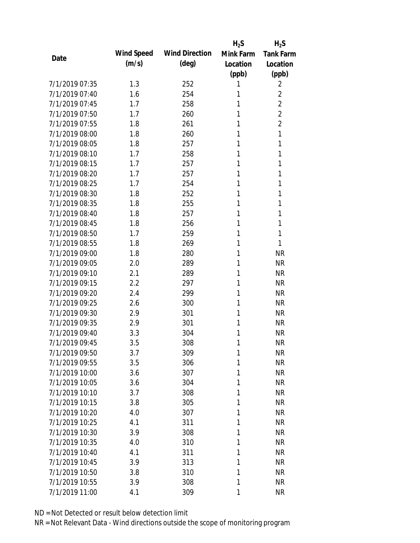|                |            |                       | $H_2S$    | $H_2S$           |
|----------------|------------|-----------------------|-----------|------------------|
| Date           | Wind Speed | <b>Wind Direction</b> | Mink Farm | <b>Tank Farm</b> |
|                | (m/s)      | $(\text{deg})$        | Location  | Location         |
|                |            |                       | (ppb)     | (ppb)            |
| 7/1/2019 07:35 | 1.3        | 252                   | 1         | 2                |
| 7/1/2019 07:40 | 1.6        | 254                   | 1         | $\overline{2}$   |
| 7/1/2019 07:45 | 1.7        | 258                   | 1         | $\overline{2}$   |
| 7/1/2019 07:50 | 1.7        | 260                   | 1         | $\overline{2}$   |
| 7/1/2019 07:55 | 1.8        | 261                   | 1         | $\overline{2}$   |
| 7/1/2019 08:00 | 1.8        | 260                   | 1         | 1                |
| 7/1/2019 08:05 | 1.8        | 257                   | 1         | 1                |
| 7/1/2019 08:10 | 1.7        | 258                   | 1         | 1                |
| 7/1/2019 08:15 | 1.7        | 257                   | 1         | 1                |
| 7/1/2019 08:20 | 1.7        | 257                   | 1         | 1                |
| 7/1/2019 08:25 | 1.7        | 254                   | 1         | 1                |
| 7/1/2019 08:30 | 1.8        | 252                   | 1         | 1                |
| 7/1/2019 08:35 | 1.8        | 255                   | 1         | 1                |
| 7/1/2019 08:40 | 1.8        | 257                   | 1         | 1                |
| 7/1/2019 08:45 | 1.8        | 256                   | 1         | 1                |
| 7/1/2019 08:50 | 1.7        | 259                   | 1         | 1                |
| 7/1/2019 08:55 | 1.8        | 269                   | 1         | 1                |
| 7/1/2019 09:00 | 1.8        | 280                   | 1         | <b>NR</b>        |
| 7/1/2019 09:05 | 2.0        | 289                   | 1         | <b>NR</b>        |
| 7/1/2019 09:10 | 2.1        | 289                   | 1         | <b>NR</b>        |
| 7/1/2019 09:15 | 2.2        | 297                   | 1         | <b>NR</b>        |
| 7/1/2019 09:20 | 2.4        | 299                   | 1         | <b>NR</b>        |
| 7/1/2019 09:25 | 2.6        | 300                   | 1         | <b>NR</b>        |
| 7/1/2019 09:30 | 2.9        | 301                   | 1         | <b>NR</b>        |
| 7/1/2019 09:35 | 2.9        | 301                   | 1         | <b>NR</b>        |
| 7/1/2019 09:40 | 3.3        | 304                   | 1         | <b>NR</b>        |
| 7/1/2019 09:45 | 3.5        | 308                   | 1         | <b>NR</b>        |
| 7/1/2019 09:50 | 3.7        | 309                   | 1         | <b>NR</b>        |
| 7/1/2019 09:55 | 3.5        | 306                   | 1         | <b>NR</b>        |
| 7/1/2019 10:00 | 3.6        | 307                   | 1         | <b>NR</b>        |
| 7/1/2019 10:05 | 3.6        | 304                   | 1         | <b>NR</b>        |
| 7/1/2019 10:10 | 3.7        | 308                   | 1         | <b>NR</b>        |
| 7/1/2019 10:15 | 3.8        | 305                   | 1         | <b>NR</b>        |
| 7/1/2019 10:20 | 4.0        | 307                   | 1         | <b>NR</b>        |
| 7/1/2019 10:25 | 4.1        | 311                   | 1         | <b>NR</b>        |
| 7/1/2019 10:30 | 3.9        | 308                   | 1         | <b>NR</b>        |
| 7/1/2019 10:35 | 4.0        | 310                   | 1         | <b>NR</b>        |
| 7/1/2019 10:40 | 4.1        | 311                   | 1         | <b>NR</b>        |
| 7/1/2019 10:45 | 3.9        | 313                   | 1         | <b>NR</b>        |
| 7/1/2019 10:50 | 3.8        | 310                   | 1         | <b>NR</b>        |
| 7/1/2019 10:55 | 3.9        | 308                   | 1         | <b>NR</b>        |
| 7/1/2019 11:00 | 4.1        | 309                   | 1         | <b>NR</b>        |
|                |            |                       |           |                  |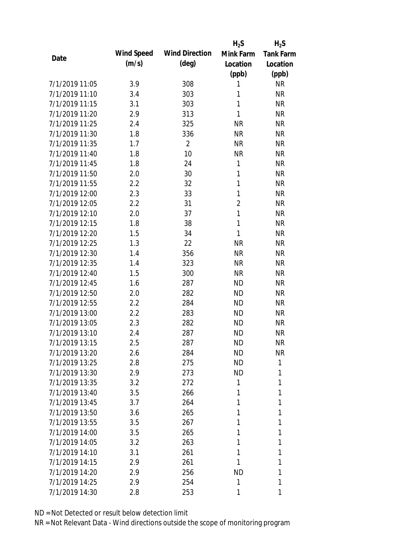|                |            |                       | $H_2S$         | $H_2S$           |
|----------------|------------|-----------------------|----------------|------------------|
| Date           | Wind Speed | <b>Wind Direction</b> | Mink Farm      | <b>Tank Farm</b> |
|                | (m/s)      | $(\text{deg})$        | Location       | Location         |
|                |            |                       | (ppb)          | (ppb)            |
| 7/1/2019 11:05 | 3.9        | 308                   | 1              | <b>NR</b>        |
| 7/1/2019 11:10 | 3.4        | 303                   | 1              | <b>NR</b>        |
| 7/1/2019 11:15 | 3.1        | 303                   | 1              | <b>NR</b>        |
| 7/1/2019 11:20 | 2.9        | 313                   | 1              | <b>NR</b>        |
| 7/1/2019 11:25 | 2.4        | 325                   | <b>NR</b>      | <b>NR</b>        |
| 7/1/2019 11:30 | 1.8        | 336                   | <b>NR</b>      | <b>NR</b>        |
| 7/1/2019 11:35 | 1.7        | $\overline{2}$        | <b>NR</b>      | <b>NR</b>        |
| 7/1/2019 11:40 | 1.8        | 10                    | <b>NR</b>      | <b>NR</b>        |
| 7/1/2019 11:45 | 1.8        | 24                    | 1              | <b>NR</b>        |
| 7/1/2019 11:50 | 2.0        | 30                    | 1              | <b>NR</b>        |
| 7/1/2019 11:55 | 2.2        | 32                    | 1              | <b>NR</b>        |
| 7/1/2019 12:00 | 2.3        | 33                    | $\mathbf{1}$   | <b>NR</b>        |
| 7/1/2019 12:05 | 2.2        | 31                    | $\overline{2}$ | <b>NR</b>        |
| 7/1/2019 12:10 | 2.0        | 37                    | $\mathbf{1}$   | <b>NR</b>        |
| 7/1/2019 12:15 | 1.8        | 38                    | 1              | <b>NR</b>        |
| 7/1/2019 12:20 | 1.5        | 34                    | 1              | <b>NR</b>        |
| 7/1/2019 12:25 | 1.3        | 22                    | <b>NR</b>      | <b>NR</b>        |
| 7/1/2019 12:30 | 1.4        | 356                   | <b>NR</b>      | <b>NR</b>        |
| 7/1/2019 12:35 | 1.4        | 323                   | <b>NR</b>      | <b>NR</b>        |
| 7/1/2019 12:40 | 1.5        | 300                   | <b>NR</b>      | <b>NR</b>        |
| 7/1/2019 12:45 | 1.6        | 287                   | <b>ND</b>      | <b>NR</b>        |
| 7/1/2019 12:50 | 2.0        | 282                   | <b>ND</b>      | <b>NR</b>        |
| 7/1/2019 12:55 | 2.2        | 284                   | <b>ND</b>      | <b>NR</b>        |
| 7/1/2019 13:00 | 2.2        | 283                   | <b>ND</b>      | <b>NR</b>        |
| 7/1/2019 13:05 | 2.3        | 282                   | <b>ND</b>      | <b>NR</b>        |
| 7/1/2019 13:10 | 2.4        | 287                   | <b>ND</b>      | <b>NR</b>        |
| 7/1/2019 13:15 | 2.5        | 287                   | <b>ND</b>      | <b>NR</b>        |
| 7/1/2019 13:20 | 2.6        | 284                   | <b>ND</b>      | <b>NR</b>        |
| 7/1/2019 13:25 | 2.8        | 275                   | <b>ND</b>      | 1                |
| 7/1/2019 13:30 | 2.9        | 273                   | <b>ND</b>      | 1                |
| 7/1/2019 13:35 | 3.2        | 272                   | 1              | 1                |
| 7/1/2019 13:40 | 3.5        | 266                   | 1              | 1                |
| 7/1/2019 13:45 | 3.7        | 264                   | 1              | 1                |
| 7/1/2019 13:50 | 3.6        | 265                   | 1              | 1                |
| 7/1/2019 13:55 | 3.5        | 267                   | 1              | 1                |
| 7/1/2019 14:00 | 3.5        | 265                   | 1              | 1                |
| 7/1/2019 14:05 | 3.2        | 263                   | 1              | 1                |
| 7/1/2019 14:10 | 3.1        | 261                   | 1              | 1                |
| 7/1/2019 14:15 | 2.9        | 261                   | 1              | 1                |
| 7/1/2019 14:20 | 2.9        | 256                   | <b>ND</b>      | 1                |
| 7/1/2019 14:25 | 2.9        | 254                   | 1              | 1                |
| 7/1/2019 14:30 | 2.8        | 253                   | 1              | 1                |
|                |            |                       |                |                  |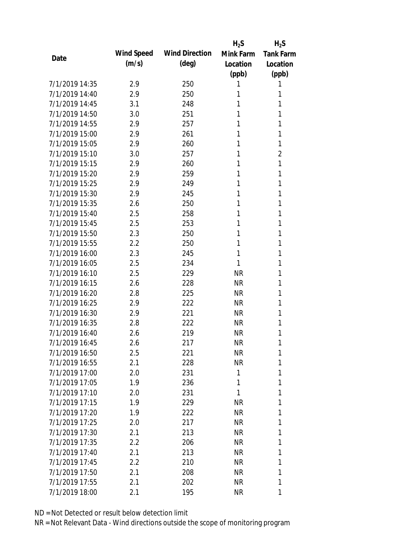|                |            |                       | $H_2S$    | $H_2S$           |
|----------------|------------|-----------------------|-----------|------------------|
| Date           | Wind Speed | <b>Wind Direction</b> | Mink Farm | <b>Tank Farm</b> |
|                | (m/s)      | $(\text{deg})$        | Location  | Location         |
|                |            |                       | (ppb)     | (ppb)            |
| 7/1/2019 14:35 | 2.9        | 250                   | 1         | 1                |
| 7/1/2019 14:40 | 2.9        | 250                   | 1         | 1                |
| 7/1/2019 14:45 | 3.1        | 248                   | 1         | 1                |
| 7/1/2019 14:50 | 3.0        | 251                   | 1         | 1                |
| 7/1/2019 14:55 | 2.9        | 257                   | 1         | 1                |
| 7/1/2019 15:00 | 2.9        | 261                   | 1         | 1                |
| 7/1/2019 15:05 | 2.9        | 260                   | 1         | 1                |
| 7/1/2019 15:10 | 3.0        | 257                   | 1         | 2                |
| 7/1/2019 15:15 | 2.9        | 260                   | 1         | 1                |
| 7/1/2019 15:20 | 2.9        | 259                   | 1         | 1                |
| 7/1/2019 15:25 | 2.9        | 249                   | 1         | 1                |
| 7/1/2019 15:30 | 2.9        | 245                   | 1         | 1                |
| 7/1/2019 15:35 | 2.6        | 250                   | 1         | 1                |
| 7/1/2019 15:40 | 2.5        | 258                   | 1         | 1                |
| 7/1/2019 15:45 | 2.5        | 253                   | 1         | 1                |
| 7/1/2019 15:50 | 2.3        | 250                   | 1         | 1                |
| 7/1/2019 15:55 | 2.2        | 250                   | 1         | 1                |
| 7/1/2019 16:00 | 2.3        | 245                   | 1         | 1                |
| 7/1/2019 16:05 | 2.5        | 234                   | 1         | 1                |
| 7/1/2019 16:10 | 2.5        | 229                   | <b>NR</b> | 1                |
| 7/1/2019 16:15 | 2.6        | 228                   | <b>NR</b> | 1                |
| 7/1/2019 16:20 | 2.8        | 225                   | <b>NR</b> | 1                |
| 7/1/2019 16:25 | 2.9        | 222                   | <b>NR</b> | 1                |
| 7/1/2019 16:30 | 2.9        | 221                   | <b>NR</b> | 1                |
| 7/1/2019 16:35 | 2.8        | 222                   | <b>NR</b> | 1                |
| 7/1/2019 16:40 | 2.6        | 219                   | <b>NR</b> | 1                |
| 7/1/2019 16:45 | 2.6        | 217                   | <b>NR</b> | 1                |
| 7/1/2019 16:50 | 2.5        | 221                   | <b>NR</b> | 1                |
| 7/1/2019 16:55 | 2.1        | 228                   | <b>NR</b> | 1                |
| 7/1/2019 17:00 | 2.0        | 231                   | 1         | 1                |
| 7/1/2019 17:05 | 1.9        | 236                   | 1         | 1                |
| 7/1/2019 17:10 | 2.0        | 231                   | 1         | 1                |
| 7/1/2019 17:15 | 1.9        | 229                   | <b>NR</b> | 1                |
| 7/1/2019 17:20 | 1.9        | 222                   | <b>NR</b> | 1                |
| 7/1/2019 17:25 | 2.0        | 217                   | <b>NR</b> | 1                |
| 7/1/2019 17:30 | 2.1        | 213                   | <b>NR</b> | 1                |
| 7/1/2019 17:35 | $2.2\,$    | 206                   | <b>NR</b> | 1                |
| 7/1/2019 17:40 | 2.1        | 213                   | <b>NR</b> | 1                |
| 7/1/2019 17:45 | 2.2        | 210                   | <b>NR</b> | 1                |
| 7/1/2019 17:50 | 2.1        | 208                   | <b>NR</b> | 1                |
| 7/1/2019 17:55 | 2.1        | 202                   | <b>NR</b> | 1                |
| 7/1/2019 18:00 | 2.1        |                       | <b>NR</b> | 1                |
|                |            | 195                   |           |                  |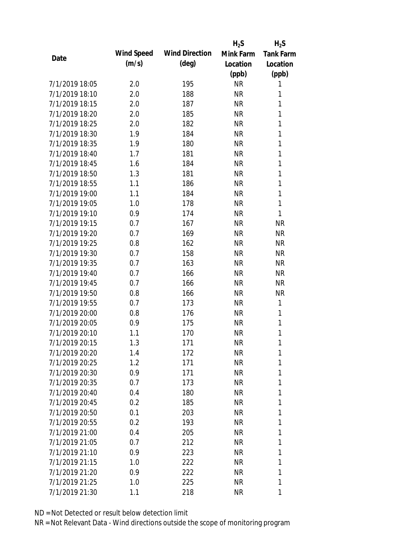|                |            |                       | $H_2S$    | $H_2S$           |
|----------------|------------|-----------------------|-----------|------------------|
| Date           | Wind Speed | <b>Wind Direction</b> | Mink Farm | <b>Tank Farm</b> |
|                | (m/s)      | $(\text{deg})$        | Location  | Location         |
|                |            |                       | (ppb)     | (ppb)            |
| 7/1/2019 18:05 | 2.0        | 195                   | <b>NR</b> | 1                |
| 7/1/2019 18:10 | 2.0        | 188                   | <b>NR</b> | 1                |
| 7/1/2019 18:15 | 2.0        | 187                   | <b>NR</b> | 1                |
| 7/1/2019 18:20 | 2.0        | 185                   | <b>NR</b> | 1                |
| 7/1/2019 18:25 | 2.0        | 182                   | <b>NR</b> | 1                |
| 7/1/2019 18:30 | 1.9        | 184                   | <b>NR</b> | 1                |
| 7/1/2019 18:35 | 1.9        | 180                   | <b>NR</b> | 1                |
| 7/1/2019 18:40 | 1.7        | 181                   | <b>NR</b> | 1                |
| 7/1/2019 18:45 | 1.6        | 184                   | <b>NR</b> | $\mathbf{1}$     |
| 7/1/2019 18:50 | 1.3        | 181                   | <b>NR</b> | $\mathbf{1}$     |
| 7/1/2019 18:55 | 1.1        | 186                   | <b>NR</b> | 1                |
| 7/1/2019 19:00 | 1.1        | 184                   | <b>NR</b> | $\mathbf{1}$     |
| 7/1/2019 19:05 | 1.0        | 178                   | <b>NR</b> | $\mathbf{1}$     |
| 7/1/2019 19:10 | 0.9        | 174                   | <b>NR</b> | 1                |
| 7/1/2019 19:15 | 0.7        | 167                   | <b>NR</b> | <b>NR</b>        |
| 7/1/2019 19:20 | 0.7        | 169                   | <b>NR</b> | <b>NR</b>        |
| 7/1/2019 19:25 | 0.8        | 162                   | <b>NR</b> | <b>NR</b>        |
| 7/1/2019 19:30 | 0.7        | 158                   | <b>NR</b> | <b>NR</b>        |
| 7/1/2019 19:35 | 0.7        | 163                   | <b>NR</b> | <b>NR</b>        |
| 7/1/2019 19:40 | 0.7        | 166                   | <b>NR</b> | <b>NR</b>        |
| 7/1/2019 19:45 | 0.7        | 166                   | <b>NR</b> | <b>NR</b>        |
| 7/1/2019 19:50 | 0.8        | 166                   | <b>NR</b> | <b>NR</b>        |
| 7/1/2019 19:55 | 0.7        | 173                   | <b>NR</b> | 1                |
| 7/1/2019 20:00 | 0.8        | 176                   | <b>NR</b> | 1                |
| 7/1/2019 20:05 | 0.9        | 175                   | <b>NR</b> | 1                |
| 7/1/2019 20:10 | 1.1        | 170                   | <b>NR</b> | 1                |
| 7/1/2019 20:15 | 1.3        | 171                   | <b>NR</b> | 1                |
| 7/1/2019 20:20 | 1.4        | 172                   | <b>NR</b> | 1                |
| 7/1/2019 20:25 | 1.2        | 171                   | <b>NR</b> | 1                |
| 7/1/2019 20:30 | 0.9        | 171                   | <b>NR</b> | 1                |
| 7/1/2019 20:35 | 0.7        | 173                   | <b>NR</b> | 1                |
| 7/1/2019 20:40 | 0.4        | 180                   | <b>NR</b> | 1                |
| 7/1/2019 20:45 | 0.2        | 185                   | <b>NR</b> | 1                |
| 7/1/2019 20:50 | 0.1        | 203                   | <b>NR</b> | 1                |
| 7/1/2019 20:55 | 0.2        | 193                   | <b>NR</b> | 1                |
| 7/1/2019 21:00 | 0.4        | 205                   | <b>NR</b> | 1                |
| 7/1/2019 21:05 | 0.7        | 212                   | <b>NR</b> | 1                |
| 7/1/2019 21:10 | 0.9        | 223                   | NR        | 1                |
| 7/1/2019 21:15 | 1.0        | 222                   | NR        | 1                |
| 7/1/2019 21:20 | 0.9        | 222                   | <b>NR</b> | 1                |
| 7/1/2019 21:25 | 1.0        | 225                   | <b>NR</b> | 1                |
| 7/1/2019 21:30 | 1.1        | 218                   | <b>NR</b> | 1                |